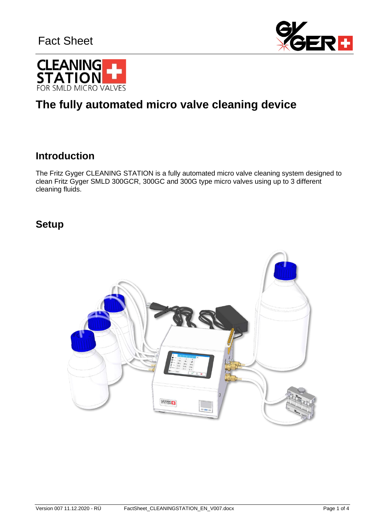



# **The fully automated micro valve cleaning device**

#### **Introduction**

The Fritz Gyger CLEANING STATION is a fully automated micro valve cleaning system designed to clean Fritz Gyger SMLD 300GCR, 300GC and 300G type micro valves using up to 3 different cleaning fluids.

#### **Setup**

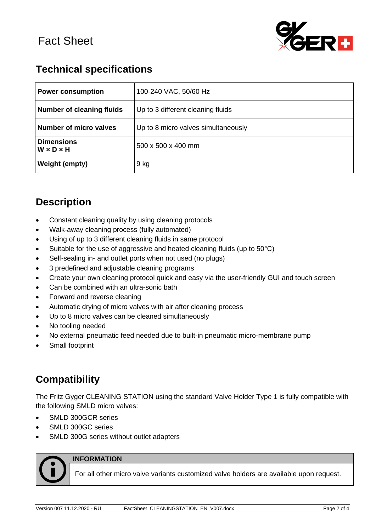

## **Technical specifications**

| <b>Power consumption</b>                   | 100-240 VAC, 50/60 Hz               |
|--------------------------------------------|-------------------------------------|
| <b>Number of cleaning fluids</b>           | Up to 3 different cleaning fluids   |
| <b>Number of micro valves</b>              | Up to 8 micro valves simultaneously |
| <b>Dimensions</b><br>$W \times D \times H$ | $500 \times 500 \times 400$ mm      |
| <b>Weight (empty)</b>                      | 9 kg                                |

## **Description**

- Constant cleaning quality by using cleaning protocols
- Walk-away cleaning process (fully automated)
- Using of up to 3 different cleaning fluids in same protocol
- Suitable for the use of aggressive and heated cleaning fluids (up to 50°C)
- Self-sealing in- and outlet ports when not used (no plugs)
- 3 predefined and adjustable cleaning programs
- Create your own cleaning protocol quick and easy via the user-friendly GUI and touch screen
- Can be combined with an ultra-sonic bath
- Forward and reverse cleaning
- Automatic drying of micro valves with air after cleaning process
- Up to 8 micro valves can be cleaned simultaneously
- No tooling needed
- No external pneumatic feed needed due to built-in pneumatic micro-membrane pump
- Small footprint

## **Compatibility**

The Fritz Gyger CLEANING STATION using the standard Valve Holder Type 1 is fully compatible with the following SMLD micro valves:

- SMLD 300GCR series
- SMLD 300GC series
- SMLD 300G series without outlet adapters



#### **INFORMATION**

For all other micro valve variants customized valve holders are available upon request.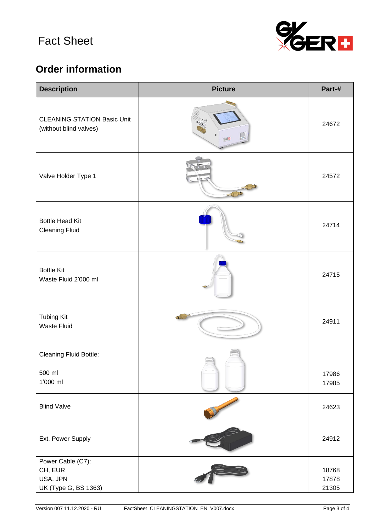

# **Order information**

| <b>Description</b>                                               | <b>Picture</b>    | Part-#                  |
|------------------------------------------------------------------|-------------------|-------------------------|
| <b>CLEANING STATION Basic Unit</b><br>(without blind valves)     |                   | 24672                   |
| Valve Holder Type 1                                              | $-11$<br>$-1 - 1$ | 24572                   |
| <b>Bottle Head Kit</b><br><b>Cleaning Fluid</b>                  |                   | 24714                   |
| <b>Bottle Kit</b><br>Waste Fluid 2'000 ml                        |                   | 24715                   |
| <b>Tubing Kit</b><br><b>Waste Fluid</b>                          |                   | 24911                   |
| <b>Cleaning Fluid Bottle:</b>                                    |                   |                         |
| 500 ml<br>1'000 ml                                               |                   | 17986<br>17985          |
| <b>Blind Valve</b>                                               |                   | 24623                   |
| Ext. Power Supply                                                |                   | 24912                   |
| Power Cable (C7):<br>CH, EUR<br>USA, JPN<br>UK (Type G, BS 1363) |                   | 18768<br>17878<br>21305 |